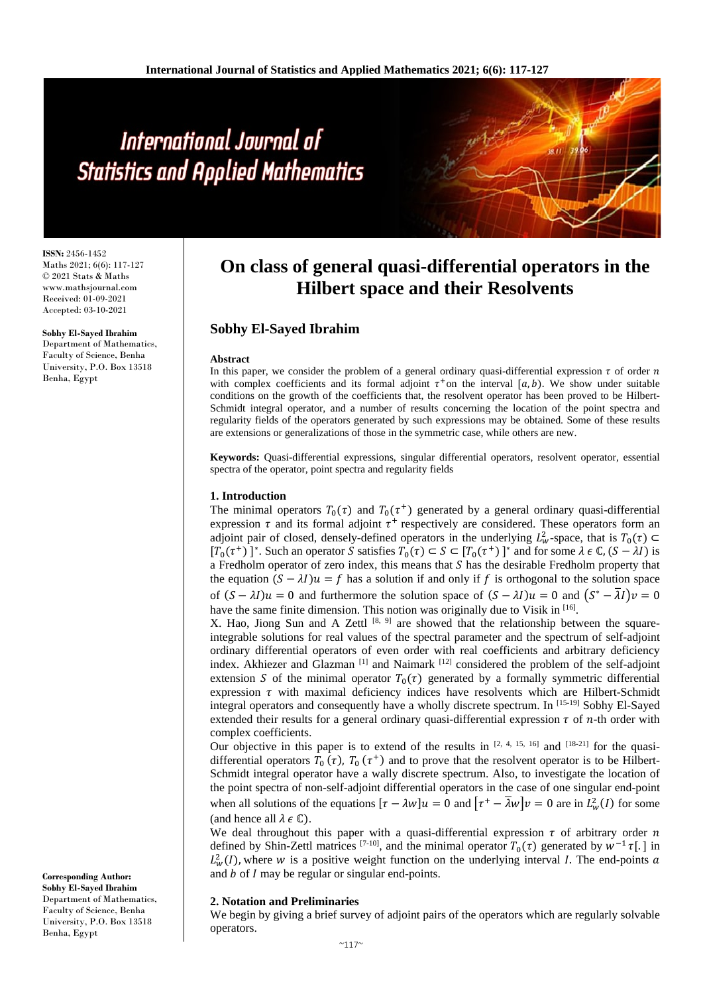# International Journal of **Statistics and Applied Mathematics**

**ISSN:** 2456-1452 Maths 2021; 6(6): 117-127 © 2021 Stats & Maths www.mathsjournal.com Received: 01-09-2021 Accepted: 03-10-2021

**Sobhy El-Sayed Ibrahim** Department of Mathematics, Faculty of Science, Benha University, P.O. Box 13518 Benha, Egypt

# **On class of general quasi-differential operators in the Hilbert space and their Resolvents**

# **Sobhy El-Sayed Ibrahim**

#### **Abstract**

In this paper, we consider the problem of a general ordinary quasi-differential expression  $\tau$  of order  $n$ with complex coefficients and its formal adjoint  $\tau^+$  on the interval [ $a, b$ ]. We show under suitable conditions on the growth of the coefficients that, the resolvent operator has been proved to be Hilbert-Schmidt integral operator, and a number of results concerning the location of the point spectra and regularity fields of the operators generated by such expressions may be obtained. Some of these results are extensions or generalizations of those in the symmetric case, while others are new.

**Keywords:** Quasi-differential expressions, singular differential operators, resolvent operator, essential spectra of the operator, point spectra and regularity fields

#### **1. Introduction**

The minimal operators  $T_0(\tau)$  and  $T_0(\tau^+)$  generated by a general ordinary quasi-differential expression  $\tau$  and its formal adjoint  $\tau^+$  respectively are considered. These operators form an adjoint pair of closed, densely-defined operators in the underlying  $L^2_w$ -space, that is  $T_0(\tau) \subset$  $[T_0(\tau^+) ]^*$ . Such an operator S satisfies  $T_0(\tau) \subset S \subset [T_0(\tau^+)]^*$  and for some  $\lambda \in \mathbb{C}$ ,  $(S - \lambda I)$  is a Fredholm operator of zero index, this means that  $S$  has the desirable Fredholm property that the equation  $(S - \lambda I)u = f$  has a solution if and only if f is orthogonal to the solution space of  $(S - \lambda I)u = 0$  and furthermore the solution space of  $(S - \lambda I)u = 0$  and  $(S^* - \overline{\lambda}I)v = 0$ have the same finite dimension. This notion was originally due to Visik in  $[16]$ .

X. Hao, Jiong Sun and A Zettl  $[8, 9]$  are showed that the relationship between the squareintegrable solutions for real values of the spectral parameter and the spectrum of self-adjoint ordinary differential operators of even order with real coefficients and arbitrary deficiency index. Akhiezer and Glazman<sup>[1]</sup> and Naimark<sup>[12]</sup> considered the problem of the self-adjoint extension S of the minimal operator  $T_0(\tau)$  generated by a formally symmetric differential expression  $\tau$  with maximal deficiency indices have resolvents which are Hilbert-Schmidt integral operators and consequently have a wholly discrete spectrum. In [15-19] Sobhy El-Sayed extended their results for a general ordinary quasi-differential expression  $\tau$  of *n*-th order with complex coefficients.

Our objective in this paper is to extend of the results in  $[2, 4, 15, 16]$  and  $[18-21]$  for the quasidifferential operators  $T_0(\tau)$ ,  $T_0(\tau^+)$  and to prove that the resolvent operator is to be Hilbert-Schmidt integral operator have a wally discrete spectrum. Also, to investigate the location of the point spectra of non-self-adjoint differential operators in the case of one singular end-point when all solutions of the equations  $[\tau - \lambda w]u = 0$  and  $[\tau^+ - \lambda w]v = 0$  are in  $L^2_w(I)$  for some (and hence all  $\lambda \in \mathbb{C}$ ).

We deal throughout this paper with a quasi-differential expression  $\tau$  of arbitrary order  $n$ defined by Shin-Zettl matrices <sup>[7-10]</sup>, and the minimal operator  $T_0(\tau)$  generated by  $w^{-1} \tau$ [.] in  $L^2_w(I)$ , where w is a positive weight function on the underlying interval I. The end-points a and  $b$  of  $I$  may be regular or singular end-points.

#### **2. Notation and Preliminaries**

We begin by giving a brief survey of adjoint pairs of the operators which are regularly solvable operators.

**Sobhy El-Sayed Ibrahim** Department of Mathematics, Faculty of Science, Benha University, P.O. Box 13518 Benha, Egypt

**Corresponding Author:**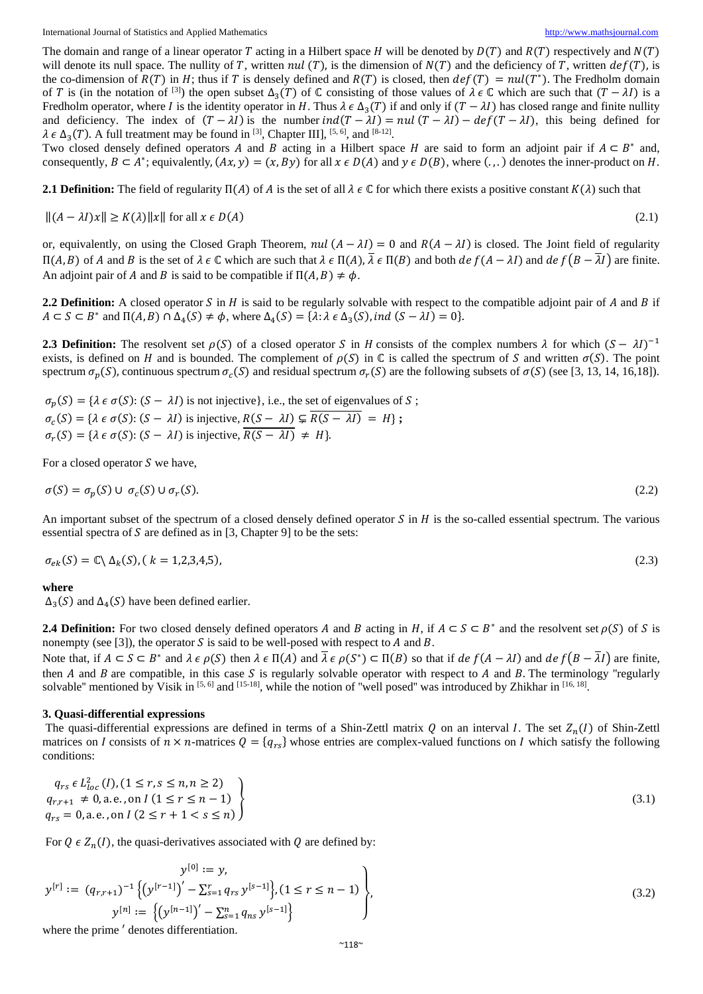The domain and range of a linear operator T acting in a Hilbert space H will be denoted by  $D(T)$  and  $R(T)$  respectively and  $N(T)$ will denote its null space. The nullity of T, written nul (T), is the dimension of  $N(T)$  and the deficiency of T, written  $def(T)$ , is the co-dimension of  $R(T)$  in H; thus if T is densely defined and  $R(T)$  is closed, then  $def(T) = null(T^*)$ . The Fredholm domain of T is (in the notation of [3]) the open subset  $\Delta_3(T)$  of ℂ consisting of those values of  $\lambda \in \mathbb{C}$  which are such that  $(T - \lambda I)$  is a Fredholm operator, where I is the identity operator in H. Thus  $\lambda \in \Delta_3(T)$  if and only if  $(T - \lambda I)$  has closed range and finite nullity and deficiency. The index of  $(T - \lambda I)$  is the number  $ind(T - \lambda I) = null (T - \lambda I) - def(T - \lambda I)$ , this being defined for  $\lambda \in \Delta_3(T)$ . A full treatment may be found in <sup>[3]</sup>, Chapter III], <sup>[5, 6]</sup>, and <sup>[8-12]</sup>.

Two closed densely defined operators A and B acting in a Hilbert space H are said to form an adjoint pair if  $A \subseteq B^*$  and, consequently,  $B \subset A^*$ ; equivalently,  $(Ax, y) = (x, By)$  for all  $x \in D(A)$  and  $y \in D(B)$ , where  $(.,.)$  denotes the inner-product on H.

**2.1 Definition:** The field of regularity  $\Pi(A)$  of A is the set of all  $\lambda \in \mathbb{C}$  for which there exists a positive constant  $K(\lambda)$  such that

 $||(A - \lambda I)x|| \ge K(\lambda) ||x||$  for all  $x \in D(A)$  (2.1)

or, equivalently, on using the Closed Graph Theorem,  $nul(A - \lambda I) = 0$  and  $R(A - \lambda I)$  is closed. The Joint field of regularity  $\Pi(A, B)$  of A and B is the set of  $\lambda \in \mathbb{C}$  which are such that  $\lambda \in \Pi(A)$ ,  $\lambda \in \Pi(B)$  and both  $de f(A - \lambda I)$  and  $de f(B - \lambda I)$  are finite. An adjoint pair of A and B is said to be compatible if  $\Pi(A, B) \neq \phi$ .

**2.2 Definition:** A closed operator S in H is said to be regularly solvable with respect to the compatible adjoint pair of A and B if  $A \subset S \subset B^*$  and  $\Pi(A, B) \cap \Delta_A(S) \neq \emptyset$ , where  $\Delta_A(S) = \{\lambda : \lambda \in \Delta_A(S), \text{ind } (S - \lambda I) = 0\}.$ 

**2.3 Definition:** The resolvent set  $\rho(S)$  of a closed operator S in H consists of the complex numbers  $\lambda$  for which  $(S - \lambda I)^{-1}$ exists, is defined on H and is bounded. The complement of  $\rho(S)$  in  $\mathbb C$  is called the spectrum of S and written  $\sigma(S)$ . The point spectrum  $\sigma_p(S)$ , continuous spectrum  $\sigma_c(S)$  and residual spectrum  $\sigma_r(S)$  are the following subsets of  $\sigma(S)$  (see [3, 13, 14, 16,18]).

 $\sigma_n(S) = {\lambda \in \sigma(S) : (S - \lambda I)}$  is not injective, i.e., the set of eigenvalues of S;  $\sigma_c(S) = {\lambda \in \sigma(S) : (S - \lambda I) \text{ is injective, } R(S - \lambda I) \subsetneq R(S - \lambda I) = H};$  $\sigma_r(S) = {\lambda \in \sigma(S) : (S - \lambda I) \text{ is injective, } R(S - \lambda I) \neq H}.$ 

For a closed operator  $S$  we have,

$$
\sigma(S) = \sigma_p(S) \cup \sigma_c(S) \cup \sigma_r(S). \tag{2.2}
$$

An important subset of the spectrum of a closed densely defined operator  $S$  in  $H$  is the so-called essential spectrum. The various essential spectra of  $S$  are defined as in [3, Chapter 9] to be the sets:

$$
\sigma_{ek}(S) = \mathbb{C}\backslash \Delta_k(S), (k = 1, 2, 3, 4, 5), \tag{2.3}
$$

#### **where**

 $\Delta_3(S)$  and  $\Delta_4(S)$  have been defined earlier.

**2.4 Definition:** For two closed densely defined operators A and B acting in H, if  $A \subset S \subset B^*$  and the resolvent set  $\rho(S)$  of S is nonempty (see [3]), the operator  $S$  is said to be well-posed with respect to  $A$  and  $B$ .

Note that, if  $A \subseteq S \subseteq B^*$  and  $\lambda \in \rho(S)$  then  $\lambda \in \Pi(A)$  and  $\overline{\lambda} \in \rho(S^*) \subseteq \Pi(B)$  so that if  $\det f(A - \lambda I)$  and  $\det f(B - \overline{\lambda}I)$  are finite, then  $A$  and  $B$  are compatible, in this case  $S$  is regularly solvable operator with respect to  $A$  and  $B$ . The terminology "regularly solvable" mentioned by Visik in [5, 6] and [15-18], while the notion of "well posed" was introduced by Zhikhar in [16, 18].

#### **3. Quasi-differential expressions**

The quasi-differential expressions are defined in terms of a Shin-Zettl matrix  $Q$  on an interval I. The set  $Z_n(I)$  of Shin-Zettl matrices on I consists of  $n \times n$ -matrices  $Q = \{q_{rs}\}\$  whose entries are complex-valued functions on I which satisfy the following conditions:

$$
q_{rs} \in L_{loc}^2(I), (1 \le r, s \le n, n \ge 2)
$$
  
\n
$$
q_{r,r+1} \neq 0, a.e., on I (1 \le r \le n - 1)
$$
  
\n
$$
q_{rs} = 0, a.e., on I (2 \le r + 1 < s \le n)
$$
\n(3.1)

For  $Q \in Z_n(I)$ , the quasi-derivatives associated with Q are defined by:

$$
y^{[0]} := y,
$$
  
\n
$$
y^{[r]} := (q_{r,r+1})^{-1} \{ (y^{[r-1]})' - \sum_{s=1}^{r} q_{rs} y^{[s-1]} \}, (1 \le r \le n-1) \},
$$
  
\n
$$
y^{[n]} := \{ (y^{[n-1]})' - \sum_{s=1}^{n} q_{ns} y^{[s-1]} \}
$$
\nwhere the prime *'* denotes differentiation.

\n(3.2)

where the prime ′ denotes differentiation.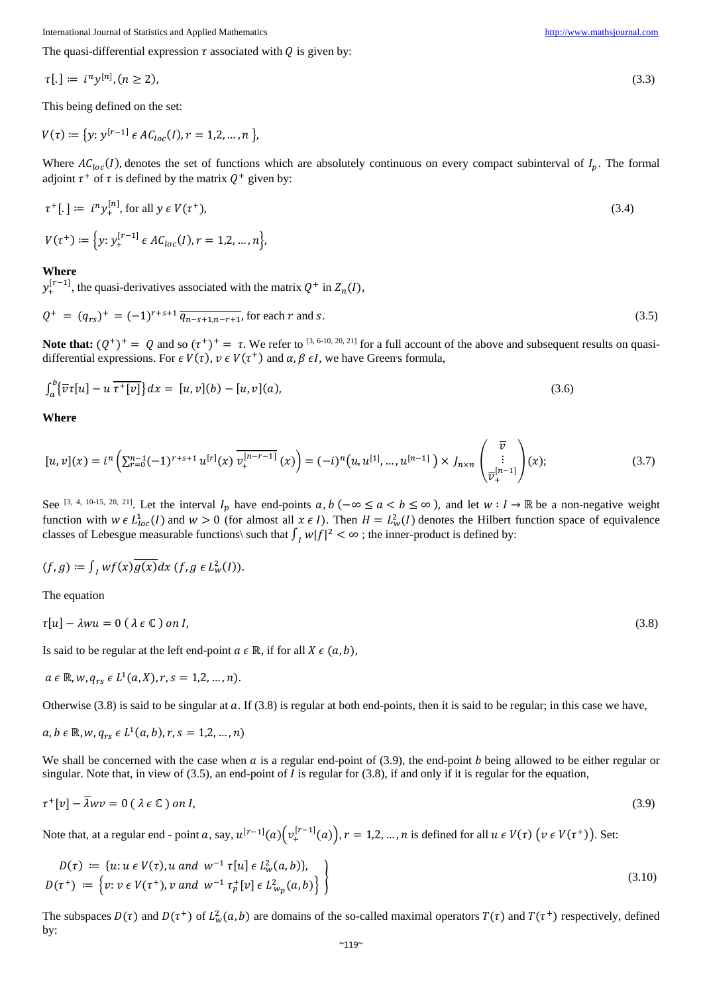$$
\tau[.] \coloneqq i^n y^{[n]}, (n \ge 2), \tag{3.3}
$$

This being defined on the set:

$$
V(\tau) := \{ y : y^{[r-1]} \in AC_{loc}(I), r = 1, 2, ..., n \}
$$

Where  $AC_{loc}(I)$ , denotes the set of functions which are absolutely continuous on every compact subinterval of  $I_n$ . The formal adjoint  $\tau^+$  of  $\tau$  is defined by the matrix  $Q^+$  given by:

$$
\tau^+[\,.\,] \coloneqq i^n y_+^{[n]}, \text{ for all } y \in V(\tau^+), \tag{3.4}
$$

$$
V(\tau^+) := \Big\{ y: y_+^{[r-1]} \in AC_{loc}(I), r = 1, 2, ..., n \Big\},\
$$

#### **Where**

 $y_+^{[r-1]}$ , the quasi-derivatives associated with the matrix  $Q^+$  in  $Z_n(I)$ ,

$$
Q^{+} = (q_{rs})^{+} = (-1)^{r+s+1} \overline{q_{n-s+1,n-r+1}}, \text{ for each } r \text{ and } s. \tag{3.5}
$$

**Note that:**  $(Q^+)^+ = Q$  and so  $(\tau^+)^+ = \tau$ . We refer to <sup>[3, 6-10, 20, 21] for a full account of the above and subsequent results on quasi-</sup> differential expressions. For  $\epsilon V(\tau)$ ,  $\nu \epsilon V(\tau^+)$  and  $\alpha, \beta, \epsilon I$ , we have Green's formula,

$$
\int_{a}^{b} {\overline{v}\tau[u] - u\overline{\tau^{+}[v]}} dx = [u, v](b) - [u, v](a),
$$
\n(3.6)

**Where**

$$
[u,v](x) = i^{n} \left( \sum_{r=0}^{n-1} (-1)^{r+s+1} u^{[r]}(x) \overline{v_+^{[n-r-1]}}(x) \right) = (-i)^{n} \left( u, u^{[1]}, \dots, u^{[n-1]} \right) \times J_{n \times n} \begin{pmatrix} \overline{v} \\ \vdots \\ \overline{v_+}^{[n-1]} \end{pmatrix}(x); \tag{3.7}
$$

See <sup>[3, 4, 10-15, 20, 21]</sup>. Let the interval  $I_p$  have end-points  $a, b$  ( $-\infty \le a < b \le \infty$ ), and let  $w : I \to \mathbb{R}$  be a non-negative weight function with  $w \in L^1_{loc}(I)$  and  $w > 0$  (for almost all  $x \in I$ ). Then  $H = L^2_w(I)$  denotes the Hilbert function space of equivalence classes of Lebesgue measurable functions\ such that  $\int_I w |f|^2 < \infty$ ; the inner-product is defined by:

$$
(f,g) \coloneqq \int_I wf(x)\overline{g(x)}dx \ (f,g \in L^2_w(I)).
$$

The equation

$$
\tau[u] - \lambda w u = 0 \ (\lambda \in \mathbb{C}) \ on \ I,\tag{3.8}
$$

Is said to be regular at the left end-point  $a \in \mathbb{R}$ , if for all  $X \in (a, b)$ ,

$$
a \in \mathbb{R}, w, q_{rs} \in L^1(a, X), r, s = 1, 2, ..., n).
$$

Otherwise  $(3.8)$  is said to be singular at a. If  $(3.8)$  is regular at both end-points, then it is said to be regular; in this case we have,

$$
a, b \in \mathbb{R}, w, q_{rs} \in L^1(a, b), r, s = 1, 2, ..., n)
$$

We shall be concerned with the case when  $\alpha$  is a regular end-point of (3.9), the end-point  $b$  being allowed to be either regular or singular. Note that, in view of  $(3.5)$ , an end-point of I is regular for  $(3.8)$ , if and only if it is regular for the equation,

$$
\tau^+[v] - \bar{\lambda} w v = 0 \ (\lambda \in \mathbb{C}) \ on \ I,\tag{3.9}
$$

Note that, at a regular end - point a, say,  $u^{[r-1]}(a) \Big( v_+^{[r-1]}(a) \Big)$ ,  $r = 1, 2, ..., n$  is defined for all  $u \in V(\tau)$   $(v \in V(\tau^+))$ . Set:

$$
D(\tau) := \{u: u \in V(\tau), u \text{ and } w^{-1} \tau[u] \in L^2_w(a, b)\},\
$$
  

$$
D(\tau^+) := \{v: v \in V(\tau^+), v \text{ and } w^{-1} \tau^+_p[v] \in L^2_{w_p}(a, b)\}\
$$
 (3.10)

The subspaces  $D(\tau)$  and  $D(\tau^+)$  of  $L^2_w(a, b)$  are domains of the so-called maximal operators  $T(\tau)$  and  $T(\tau^+)$  respectively, defined by: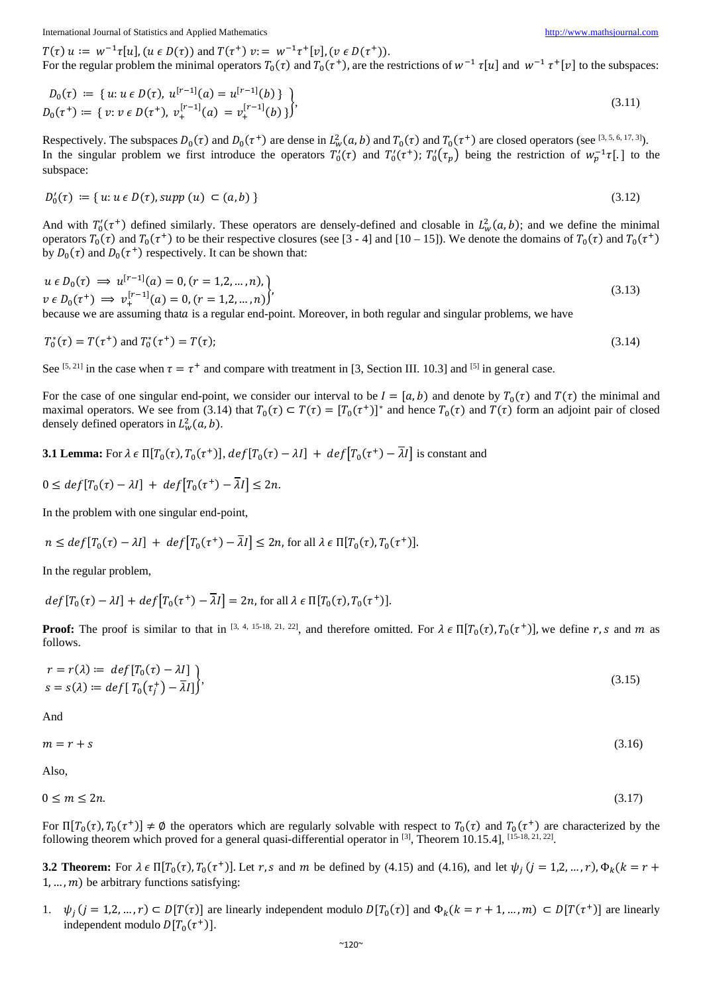$T(\tau)$   $u := w^{-1}\tau[u]$ ,  $(u \in D(\tau))$  and  $T(\tau^+)$   $v := w^{-1}\tau^+[v]$ ,  $(v \in D(\tau^+))$ . For the regular problem the minimal operators  $T_0(\tau)$  and  $T_0(\tau^+)$ , are the restrictions of  $w^{-1} \tau[u]$  and  $w^{-1} \tau^+[v]$  to the subspaces:

$$
D_0(\tau) := \{ u : u \in D(\tau), u^{[r-1]}(a) = u^{[r-1]}(b) \} \}
$$
  
\n
$$
D_0(\tau^+) := \{ v : v \in D(\tau^+), v_+^{[r-1]}(a) = v_+^{[r-1]}(b) \} \}
$$
\n
$$
(3.11)
$$

Respectively. The subspaces  $D_0(\tau)$  and  $D_0(\tau^+)$  are dense in  $L^2_w(a, b)$  and  $T_0(\tau)$  and  $T_0(\tau^+)$  are closed operators (see [3, 5, 6, 17, 3]). In the singular problem we first introduce the operators  $T'_0(\tau)$  and  $T'_0(\tau^+)$ ;  $T'_0(\tau_p)$  being the restriction of  $w_p^{-1}\tau$ [.] to the subspace:

$$
D'_{0}(\tau) := \{ u : u \in D(\tau), \text{supp } (u) \subset (a, b) \}
$$
\n(3.12)

And with  $T'_0(\tau^+)$  defined similarly. These operators are densely-defined and closable in  $L^2_w(a, b)$ ; and we define the minimal operators  $T_0(\tau)$  and  $T_0(\tau^+)$  to be their respective closures (see [3 - 4] and [10 – 15]). We denote the domains of  $T_0(\tau)$  and  $T_0(\tau^+)$ by  $D_0(\tau)$  and  $D_0(\tau^+)$  respectively. It can be shown that:

$$
u \in D_0(\tau) \implies u^{[r-1]}(a) = 0, (r = 1, 2, ..., n),
$$
  
\n
$$
v \in D_0(\tau^+) \implies v_+^{[r-1]}(a) = 0, (r = 1, 2, ..., n))'
$$
\n(3.13)

because we are assuming that a is a regular end-point. Moreover, in both regular and singular problems, we have

$$
T_0^*(\tau) = T(\tau^+) \text{ and } T_0^*(\tau^+) = T(\tau); \tag{3.14}
$$

See <sup>[5, 21]</sup> in the case when  $\tau = \tau^+$  and compare with treatment in [3, Section III. 10.3] and <sup>[5]</sup> in general case.

For the case of one singular end-point, we consider our interval to be  $I = [a, b)$  and denote by  $T_0(\tau)$  and  $T(\tau)$  the minimal and maximal operators. We see from (3.14) that  $T_0(\tau) \subset T(\tau) = [T_0(\tau^+)]^*$  and hence  $T_0(\tau)$  and  $T(\tau)$  form an adjoint pair of closed densely defined operators in  $L_w^2(a, b)$ .

**3.1 Lemma:** For  $\lambda \in \Pi[T_0(\tau), T_0(\tau^+)]$ ,  $def[T_0(\tau) - \lambda I] + def[T_0(\tau^+) - \overline{\lambda}I]$  is constant and

$$
0 \leq def[T_0(\tau) - \lambda I] + def[T_0(\tau^+) - \overline{\lambda}I] \leq 2n.
$$

In the problem with one singular end-point,

$$
n \le \text{def}[T_0(\tau) - \lambda I] + \text{def}[T_0(\tau^+) - \overline{\lambda}I] \le 2n, \text{ for all } \lambda \in \Pi[T_0(\tau), T_0(\tau^+)].
$$

In the regular problem,

$$
def[T_0(\tau) - \lambda I] + def[T_0(\tau^+) - \overline{\lambda}I] = 2n, \text{ for all } \lambda \in \Pi[T_0(\tau), T_0(\tau^+)].
$$

**Proof:** The proof is similar to that in [3, 4, 15-18, 21, 22], and therefore omitted. For  $\lambda \in \Pi[T_0(\tau), T_0(\tau^+)]$ , we define r, s and m as follows.

$$
r = r(\lambda) \coloneqq \operatorname{def}[T_0(\tau) - \lambda I] \tag{3.15}
$$
\n
$$
s = s(\lambda) \coloneqq \operatorname{def}[T_0(\tau_j^+) - \overline{\lambda}I] \tag{3.16}
$$

And

 $m = r + s$  (3.16)

Also,

$$
0 \le m \le 2n. \tag{3.17}
$$

For  $\Pi[T_0(\tau), T_0(\tau^+)] \neq \emptyset$  the operators which are regularly solvable with respect to  $T_0(\tau)$  and  $T_0(\tau^+)$  are characterized by the following theorem which proved for a general quasi-differential operator in [3], Theorem 10.15.4], [15-18, 21, 22].

**3.2 Theorem:** For  $\lambda \in \Pi[T_0(\tau), T_0(\tau^+)]$ . Let r, s and m be defined by (4.15) and (4.16), and let  $\psi_i$  ( $j = 1, 2, ..., r$ ),  $\Phi_k$  ( $k = r +$  $1, \ldots, m$ ) be arbitrary functions satisfying:

1.  $\psi_i$   $(j = 1, 2, ..., r)$   $\subset D[T(\tau)]$  are linearly independent modulo  $D[T_0(\tau)]$  and  $\Phi_k$   $(k = r + 1, ..., m)$   $\subset D[T(\tau^+)]$  are linearly independent modulo  $D[T_0(\tau^+)]$ .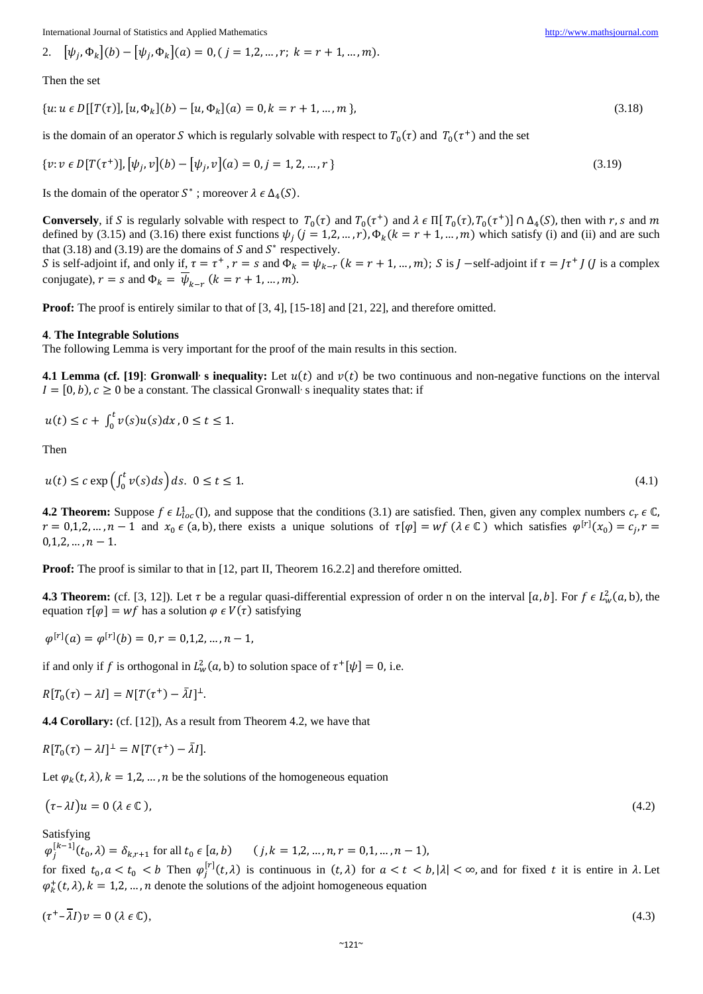2. 
$$
[\psi_j, \Phi_k](b) - [\psi_j, \Phi_k](a) = 0, (j = 1, 2, ..., r; k = r + 1, ..., m).
$$

Then the set

 $\{u: u \in D[[T(\tau)], [u, \Phi_k](b) - [u, \Phi_k](a) = 0, k = r + 1, ..., m\},\$  (3.18)

is the domain of an operator S which is regularly solvable with respect to  $T_0(\tau)$  and  $T_0(\tau^+)$  and the set

$$
\{v: v \in D[T(\tau^+)], [\psi_j, v](b) - [\psi_j, v](a) = 0, j = 1, 2, ..., r\}
$$
\n(3.19)

Is the domain of the operator  $S^*$ ; moreover  $\lambda \in \Delta_4(S)$ .

**Conversely**, if S is regularly solvable with respect to  $T_0(\tau)$  and  $T_0(\tau^+)$  and  $\lambda \in \Pi[T_0(\tau), T_0(\tau^+)] \cap \Delta_4(S)$ , then with r, s and m defined by (3.15) and (3.16) there exist functions  $\psi_i$  ( $j = 1, 2, ..., r$ ),  $\Phi_k$  ( $k = r + 1, ..., m$ ) which satisfy (i) and (ii) and are such that (3.18) and (3.19) are the domains of  $S$  and  $S^*$  respectively.

S is self-adjoint if, and only if,  $\tau = \tau^+$ ,  $r = s$  and  $\Phi_k = \psi_{k-r}$   $(k = r + 1, ..., m)$ ; S is  $J$  -self-adjoint if  $\tau = J\tau^+ J$  (*J* is a complex conjugate),  $r = s$  and  $\Phi_k = \overline{\psi}_{k-r}$   $(k = r + 1, ..., m)$ .

**Proof:** The proof is entirely similar to that of [3, 4], [15-18] and [21, 22], and therefore omitted.

#### **4**. **The Integrable Solutions**

The following Lemma is very important for the proof of the main results in this section.

**4.1 Lemma (cf. [19]: Gronwall s inequality:** Let  $u(t)$  and  $v(t)$  be two continuous and non-negative functions on the interval  $I = [0, b), c \ge 0$  be a constant. The classical Gronwall s inequality states that: if

$$
u(t) \le c + \int_0^t v(s)u(s)dx, 0 \le t \le 1.
$$

Then

$$
u(t) \le c \exp\left(\int_0^t v(s)ds\right) ds. \quad 0 \le t \le 1. \tag{4.1}
$$

**4.2 Theorem:** Suppose  $f \in L^1_{loc}(I)$ , and suppose that the conditions (3.1) are satisfied. Then, given any complex numbers  $c_r \in \mathbb{C}$ ,  $r = 0, 1, 2, ..., n - 1$  and  $x_0 \in (a, b)$ , there exists a unique solutions of  $\tau[\varphi] = wf (\lambda \in \mathbb{C})$  which satisfies  $\varphi^{[r]}(x_0) = c_j, r =$  $0,1,2,...,n-1$ .

**Proof:** The proof is similar to that in [12, part II, Theorem 16.2.2] and therefore omitted.

**4.3 Theorem:** (cf. [3, 12]). Let  $\tau$  be a regular quasi-differential expression of order n on the interval [a, b]. For  $f \in L^2_w(a, b)$ , the equation  $\tau[\varphi] = wf$  has a solution  $\varphi \in V(\tau)$  satisfying

$$
\varphi^{[r]}(a)=\varphi^{[r]}(b)=0, r=0,1,2,\ldots,n-1,
$$

if and only if f is orthogonal in  $L^2_w(a, b)$  to solution space of  $\tau^+[\psi] = 0$ , i.e.

$$
R[T_0(\tau) - \lambda I] = N[T(\tau^+) - \bar{\lambda}I]^{\perp}.
$$

**4.4 Corollary:** (cf. [12]), As a result from Theorem 4.2, we have that

$$
R[T_0(\tau) - \lambda I]^\perp = N[T(\tau^+) - \bar{\lambda}I].
$$

Let  $\varphi_k(t, \lambda), k = 1, 2, ..., n$  be the solutions of the homogeneous equation

$$
(\tau - \lambda I)u = 0 \ (\lambda \in \mathbb{C} \ ), \tag{4.2}
$$

Satisfying

 $\varphi_j^{[k-1]}(t_0, \lambda) = \delta_{k,r+1}$  for all  $t_0 \in [a, b)$  (  $j, k = 1, 2, ..., n, r = 0, 1, ..., n-1$ ), for fixed  $t_0, a < t_0 < b$  Then  $\varphi_j^{[r]}(t, \lambda)$  is continuous in  $(t, \lambda)$  for  $a < t < b, |\lambda| < \infty$ , and for fixed t it is entire in  $\lambda$ . Let  $\varphi_k^+(t, \lambda), k = 1, 2, \dots, n$  denote the solutions of the adjoint homogeneous equation

$$
(\tau^+ - \lambda I)v = 0 \ (\lambda \in \mathbb{C}), \tag{4.3}
$$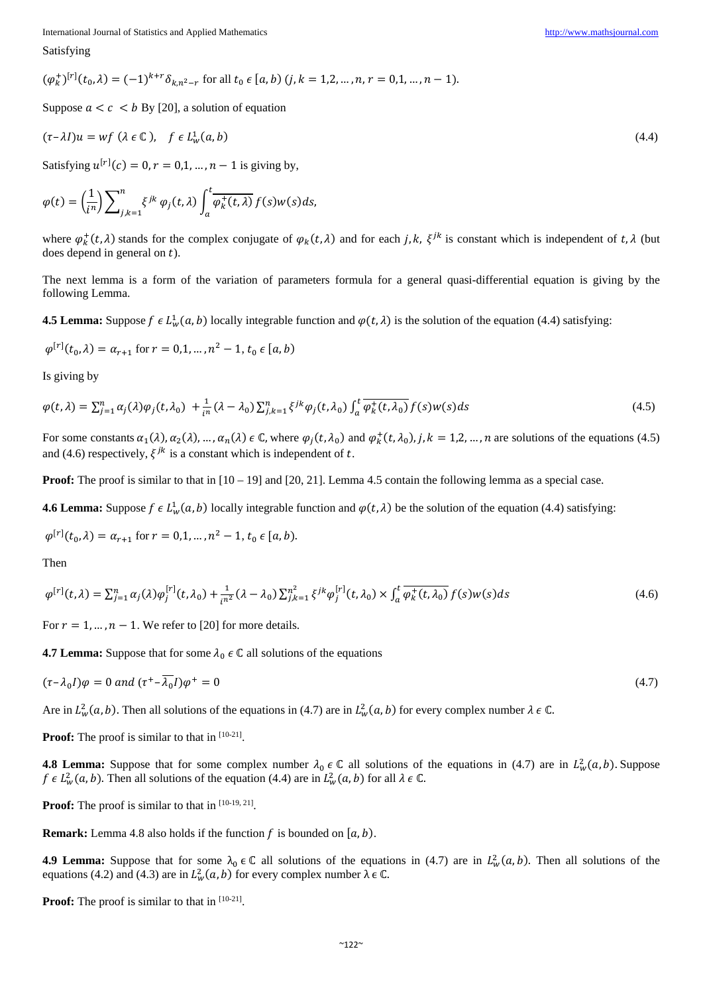Satisfying

$$
(\varphi_k^+)^{[r]}(t_0,\lambda) = (-1)^{k+r} \delta_{k,n^2-r} \text{ for all } t_0 \in [a,b) \ (j,k=1,2,\ldots,n, r=0,1,\ldots,n-1).
$$

Suppose  $a < c < b$  By [20], a solution of equation

$$
(\tau - \lambda I)u = wf (\lambda \in \mathbb{C}), \quad f \in L^1_w(a, b)
$$
\n
$$
(4.4)
$$

Satisfying  $u^{[r]}(c) = 0, r = 0,1, ..., n - 1$  is giving by,

$$
\varphi(t) = \left(\frac{1}{i^n}\right) \sum_{j,k=1}^n \xi^{jk} \varphi_j(t,\lambda) \int_a^t \overline{\varphi_k^+(t,\lambda)} f(s) w(s) ds,
$$

where  $\varphi_k^+(t, \lambda)$  stands for the complex conjugate of  $\varphi_k(t, \lambda)$  and for each j, k,  $\xi^{jk}$  is constant which is independent of t,  $\lambda$  (but does depend in general on  $t$ ).

The next lemma is a form of the variation of parameters formula for a general quasi-differential equation is giving by the following Lemma.

**4.5 Lemma:** Suppose  $f \in L^1_w(a, b)$  locally integrable function and  $\varphi(t, \lambda)$  is the solution of the equation (4.4) satisfying:

$$
\varphi^{[r]}(t_0, \lambda) = \alpha_{r+1} \text{ for } r = 0, 1, \dots, n^2 - 1, t_0 \in [a, b)
$$

Is giving by

$$
\varphi(t,\lambda) = \sum_{j=1}^{n} \alpha_j(\lambda)\varphi_j(t,\lambda_0) + \frac{1}{i^n}(\lambda - \lambda_0)\sum_{j,k=1}^{n} \xi^{jk}\varphi_j(t,\lambda_0) \int_a^t \overline{\varphi_k^+(t,\lambda_0)} f(s)w(s)ds
$$
\n(4.5)

For some constants  $\alpha_1(\lambda), \alpha_2(\lambda), \dots, \alpha_n(\lambda) \in \mathbb{C}$ , where  $\varphi_j(t, \lambda_0)$  and  $\varphi_k^+(t, \lambda_0), j, k = 1, 2, \dots, n$  are solutions of the equations (4.5) and (4.6) respectively,  $\xi^{jk}$  is a constant which is independent of t.

**Proof:** The proof is similar to that in  $[10 - 19]$  and  $[20, 21]$ . Lemma 4.5 contain the following lemma as a special case.

**4.6 Lemma:** Suppose  $f \in L^1_w(a, b)$  locally integrable function and  $\varphi(t, \lambda)$  be the solution of the equation (4.4) satisfying:

$$
\varphi^{[r]}(t_0, \lambda) = \alpha_{r+1} \text{ for } r = 0, 1, \dots, n^2 - 1, t_0 \in [a, b).
$$

Then

$$
\varphi^{[r]}(t,\lambda) = \sum_{j=1}^{n} \alpha_j(\lambda) \varphi_j^{[r]}(t,\lambda_0) + \frac{1}{i^{n^2}} (\lambda - \lambda_0) \sum_{j,k=1}^{n^2} \xi^{jk} \varphi_j^{[r]}(t,\lambda_0) \times \int_a^t \overline{\varphi_k^+(t,\lambda_0)} f(s) w(s) ds \tag{4.6}
$$

For  $r = 1, ..., n - 1$ . We refer to [20] for more details.

**4.7 Lemma:** Suppose that for some  $\lambda_0 \in \mathbb{C}$  all solutions of the equations

$$
(\tau - \lambda_0 I)\varphi = 0 \text{ and } (\tau^+ - \overline{\lambda_0}I)\varphi^+ = 0 \tag{4.7}
$$

Are in  $L^2_w(a, b)$ . Then all solutions of the equations in (4.7) are in  $L^2_w(a, b)$  for every complex number  $\lambda \in \mathbb{C}$ .

**Proof:** The proof is similar to that in  $[10-21]$ .

**4.8 Lemma:** Suppose that for some complex number  $\lambda_0 \in \mathbb{C}$  all solutions of the equations in (4.7) are in  $L^2_w(a, b)$ . Suppose  $f \in L^2_w(a, b)$ . Then all solutions of the equation (4.4) are in  $L^2_w(a, b)$  for all  $\lambda \in \mathbb{C}$ .

**Proof:** The proof is similar to that in  $[10-19, 21]$ .

**Remark:** Lemma 4.8 also holds if the function  $f$  is bounded on  $[a, b)$ .

**4.9 Lemma:** Suppose that for some  $\lambda_0 \in \mathbb{C}$  all solutions of the equations in (4.7) are in  $L^2_w(a, b)$ . Then all solutions of the equations (4.2) and (4.3) are in  $L^2_w(a, b)$  for every complex number  $\lambda \in \mathbb{C}$ .

**Proof:** The proof is similar to that in [10-21].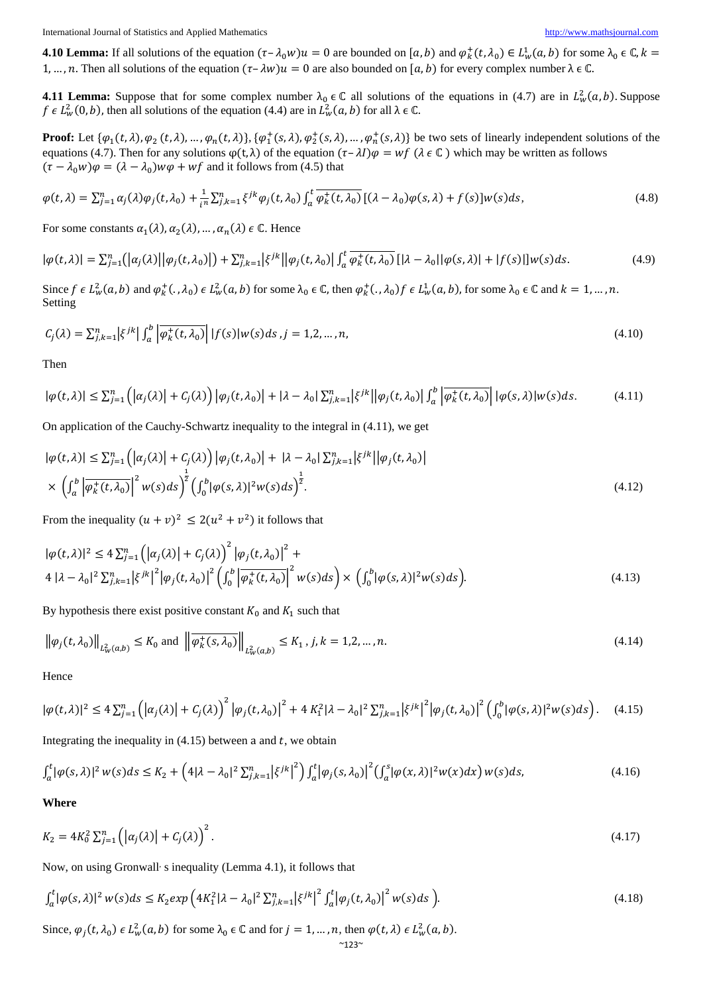**4.10 Lemma:** If all solutions of the equation  $(\tau - \lambda_0 w)u = 0$  are bounded on  $[a, b)$  and  $\varphi_k^+(t, \lambda_0) \in L^1_w(a, b)$  for some  $\lambda_0 \in \mathbb{C}$ ,  $k =$ 1, …, n. Then all solutions of the equation  $(\tau - \lambda w)u = 0$  are also bounded on  $[a, b)$  for every complex number  $\lambda \in \mathbb{C}$ .

**4.11 Lemma:** Suppose that for some complex number  $\lambda_0 \in \mathbb{C}$  all solutions of the equations in (4.7) are in  $L^2_w(a, b)$ . Suppose  $f \in L^2_w(0, b)$ , then all solutions of the equation (4.4) are in  $L^2_w(a, b)$  for all  $\lambda \in \mathbb{C}$ .

**Proof:** Let  $\{\varphi_1(t, \lambda), \varphi_2(t, \lambda), ..., \varphi_n(t, \lambda)\}$ ,  $\{\varphi_1^+(s, \lambda), \varphi_2^+(s, \lambda), ..., \varphi_n^+(s, \lambda)\}$  be two sets of linearly independent solutions of the equations (4.7). Then for any solutions  $\varphi(t, \lambda)$  of the equation  $(\tau - \lambda I)\varphi = wf(\lambda \in \mathbb{C})$  which may be written as follows  $(\tau - \lambda_0 w)\varphi = (\lambda - \lambda_0) w\varphi + wf$  and it follows from (4.5) that

$$
\varphi(t,\lambda) = \sum_{j=1}^{n} \alpha_j(\lambda)\varphi_j(t,\lambda_0) + \frac{1}{i^n} \sum_{j,k=1}^{n} \xi^{jk}\varphi_j(t,\lambda_0) \int_a^t \overline{\varphi_k^+(t,\lambda_0)} \left[ (\lambda - \lambda_0)\varphi(s,\lambda) + f(s) \right] w(s) ds, \tag{4.8}
$$

For some constants  $\alpha_1(\lambda), \alpha_2(\lambda), \dots, \alpha_n(\lambda) \in \mathbb{C}$ . Hence

$$
|\varphi(t,\lambda)| = \sum_{j=1}^{n} (|\alpha_j(\lambda)||\varphi_j(t,\lambda_0)|) + \sum_{j,k=1}^{n} |\xi^{jk}||\varphi_j(t,\lambda_0)| \int_a^t \overline{\varphi_k^+(t,\lambda_0)} \left[|\lambda - \lambda_0||\varphi(s,\lambda)| + |f(s)||w(s)ds.\right] \tag{4.9}
$$

Since  $f \in L^2_w(a, b)$  and  $\varphi^+_k(., \lambda_0) \in L^2_w(a, b)$  for some  $\lambda_0 \in \mathbb{C}$ , then  $\varphi^+_k(., \lambda_0) f \in L^1_w(a, b)$ , for some  $\lambda_0 \in \mathbb{C}$  and  $k = 1, ..., n$ . Setting

$$
C_j(\lambda) = \sum_{j,k=1}^n \left| \xi^{jk} \right| \int_a^b \left| \overline{\varphi_k^+(t,\lambda_0)} \right| |f(s)| w(s) ds, j = 1,2,\dots,n,
$$
\n
$$
(4.10)
$$

Then

$$
|\varphi(t,\lambda)| \le \sum_{j=1}^n \left( |\alpha_j(\lambda)| + C_j(\lambda) \right) |\varphi_j(t,\lambda_0)| + |\lambda - \lambda_0| \sum_{j,k=1}^n |\xi^{jk}| |\varphi_j(t,\lambda_0)| \int_a^b \left| \overline{\varphi_k^+(t,\lambda_0)} \right| |\varphi(s,\lambda)| w(s) ds. \tag{4.11}
$$

On application of the Cauchy-Schwartz inequality to the integral in (4.11), we get

$$
|\varphi(t,\lambda)| \leq \sum_{j=1}^{n} \left( |\alpha_j(\lambda)| + C_j(\lambda) \right) |\varphi_j(t,\lambda_0)| + |\lambda - \lambda_0| \sum_{j,k=1}^{n} |\xi^{jk}| |\varphi_j(t,\lambda_0)|
$$
  
 
$$
\times \left( \int_a^b \left| \overline{\varphi_k^+(t,\lambda_0)} \right|^2 w(s) ds \right)^{\frac{1}{2}} \left( \int_0^b |\varphi(s,\lambda)|^2 w(s) ds \right)^{\frac{1}{2}}.
$$
 (4.12)

From the inequality  $(u + v)^2 \leq 2(u^2 + v^2)$  it follows that

$$
|\varphi(t,\lambda)|^2 \le 4 \sum_{j=1}^n \left( |\alpha_j(\lambda)| + C_j(\lambda) \right)^2 |\varphi_j(t,\lambda_0)|^2 +
$$
  
4  $|\lambda - \lambda_0|^2 \sum_{j,k=1}^n |\xi^{jk}|^2 |\varphi_j(t,\lambda_0)|^2 \left( \int_0^b \left| \overline{\varphi_k^+(t,\lambda_0)} \right|^2 w(s) ds \right) \times \left( \int_0^b |\varphi(s,\lambda)|^2 w(s) ds \right).$  (4.13)

By hypothesis there exist positive constant  $K_0$  and  $K_1$  such that

$$
\left\|\varphi_j(t,\lambda_0)\right\|_{L^2_w(a,b)} \le K_0 \text{ and } \left\|\overline{\varphi_k^+(s,\lambda_0)}\right\|_{L^2_w(a,b)} \le K_1, j,k = 1,2,\dots,n. \tag{4.14}
$$

Hence

$$
|\varphi(t,\lambda)|^2 \le 4\sum_{j=1}^n \left( \left| \alpha_j(\lambda) \right| + C_j(\lambda) \right)^2 \left| \varphi_j(t,\lambda_0) \right|^2 + 4K_1^2 |\lambda - \lambda_0|^2 \sum_{j,k=1}^n \left| \xi^{jk} \right|^2 \left| \varphi_j(t,\lambda_0) \right|^2 \left( \int_0^b |\varphi(s,\lambda)|^2 w(s) ds \right). \tag{4.15}
$$

Integrating the inequality in  $(4.15)$  between a and t, we obtain

$$
\int_{a}^{t} |\varphi(s,\lambda)|^{2} w(s) ds \le K_{2} + (4|\lambda - \lambda_{0}|^{2} \sum_{j,k=1}^{n} |\xi^{jk}|^{2}) \int_{a}^{t} |\varphi_{j}(s,\lambda_{0})|^{2} (\int_{a}^{s} |\varphi(x,\lambda)|^{2} w(x) dx) w(s) ds, \tag{4.16}
$$

#### **Where**

$$
K_2 = 4K_0^2 \sum_{j=1}^n \left( \left| \alpha_j(\lambda) \right| + C_j(\lambda) \right)^2.
$$
 (4.17)

Now, on using Gronwall s inequality (Lemma 4.1), it follows that

$$
\int_{a}^{t} |\varphi(s,\lambda)|^{2} w(s) ds \le K_{2} exp\left(4K_{1}^{2}|\lambda-\lambda_{0}|^{2} \sum_{j,k=1}^{n} |\xi^{jk}|^{2} \int_{a}^{t} |\varphi_{j}(t,\lambda_{0})|^{2} w(s) ds\right).
$$
\n(4.18)

Since,  $\varphi_j(t, \lambda_0) \in L^2_w(a, b)$  for some  $\lambda_0 \in \mathbb{C}$  and for  $j = 1, ..., n$ , then  $\varphi(t, \lambda) \in L^2_w(a, b)$ .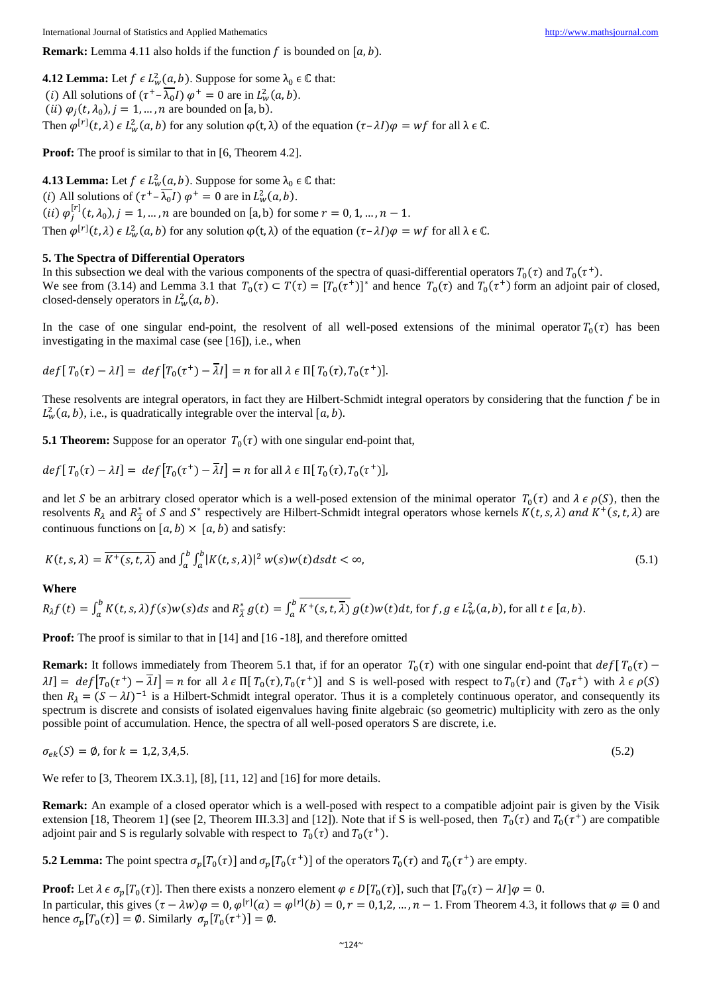**4.12 Lemma:** Let  $f \in L^2_w(a, b)$ . Suppose for some  $\lambda_0 \in \mathbb{C}$  that: (*i*) All solutions of  $(\tau^+ - \lambda_0 I) \varphi^+ = 0$  are in  $L^2_w(a, b)$ . (*ii*)  $\varphi_j(t, \lambda_0)$ ,  $j = 1, ..., n$  are bounded on [a, b). Then  $\varphi^{[r]}(t, \lambda) \in L^2_w(a, b)$  for any solution  $\varphi(t, \lambda)$  of the equation  $(\tau - \lambda I)\varphi = wf$  for all  $\lambda \in \mathbb{C}$ .

**Proof:** The proof is similar to that in [6, Theorem 4.2].

**4.13 Lemma:** Let  $f \in L^2_w(a, b)$ . Suppose for some  $\lambda_0 \in \mathbb{C}$  that: (*i*) All solutions of  $(\tau^+ - \lambda_0 I) \varphi^+ = 0$  are in  $L^2_w(a, b)$ . (*ii*)  $\varphi_j^{[r]}(t, \lambda_0), j = 1, ..., n$  are bounded on [a, b) for some  $r = 0, 1, ..., n - 1$ . Then  $\varphi^{[r]}(t, \lambda) \in L^2_w(a, b)$  for any solution  $\varphi(t, \lambda)$  of the equation  $(\tau - \lambda I)\varphi = wf$  for all  $\lambda \in \mathbb{C}$ .

#### **5. The Spectra of Differential Operators**

In this subsection we deal with the various components of the spectra of quasi-differential operators  $T_0(\tau)$  and  $T_0(\tau^+)$ . We see from (3.14) and Lemma 3.1 that  $T_0(\tau) \subset T(\tau) = [T_0(\tau^+)]^*$  and hence  $T_0(\tau)$  and  $T_0(\tau^+)$  form an adjoint pair of closed, closed-densely operators in  $L^2_w(a, b)$ .

In the case of one singular end-point, the resolvent of all well-posed extensions of the minimal operator  $T_0(\tau)$  has been investigating in the maximal case (see [16]), i.e., when

 $def[T_0(\tau) - \lambda I] = def[T_0(\tau^+) - \overline{\lambda}I] = n$  for all  $\lambda \in \Pi[T_0(\tau), T_0(\tau^+)]$ .

These resolvents are integral operators, in fact they are Hilbert-Schmidt integral operators by considering that the function  $f$  be in  $L^2_w(a, b)$ , i.e., is quadratically integrable over the interval [a, b).

**5.1 Theorem:** Suppose for an operator  $T_0(\tau)$  with one singular end-point that,

$$
def[T_0(\tau) - \lambda I] = def[T_0(\tau^+) - \overline{\lambda}I] = n \text{ for all } \lambda \in \Pi[T_0(\tau), T_0(\tau^+)],
$$

and let S be an arbitrary closed operator which is a well-posed extension of the minimal operator  $T_0(\tau)$  and  $\lambda \in \rho(S)$ , then the resolvents  $R_{\lambda}$  and  $R_{\overline{\lambda}}^{*}$  of S and S<sup>\*</sup> respectively are Hilbert-Schmidt integral operators whose kernels  $K(t, s, \lambda)$  and  $K^{+}(s, t, \lambda)$  are continuous functions on  $[a, b) \times [a, b)$  and satisfy:

$$
K(t,s,\lambda) = \overline{K^+(s,t,\lambda)} \text{ and } \int_a^b \int_a^b |K(t,s,\lambda)|^2 w(s)w(t)dsdt < \infty,
$$
\n(5.1)

#### **Where**

 $R_{\lambda}f(t) = \int_a^b K(t, s, \lambda)f(s)w(s)ds$  and  $R_{\lambda}^* g(t) = \int_a^b K^+(s, t, \overline{\lambda}) g(t)w(t)dt$ , for  $f, g \in L_w^2(a, b)$ , for all  $t \in [a, b)$ .

**Proof:** The proof is similar to that in [14] and [16 -18], and therefore omitted

**Remark:** It follows immediately from Theorem 5.1 that, if for an operator  $T_0(\tau)$  with one singular end-point that  $def[T_0(\tau) \lambda I$ ] =  $def[T_0(\tau^+) - \overline{\lambda}I$ ] = n for all  $\lambda \in \Pi[T_0(\tau), T_0(\tau^+)]$  and S is well-posed with respect to  $T_0(\tau)$  and  $(T_0\tau^+)$  with  $\lambda \in \rho(S)$ then  $R_{\lambda} = (S - \lambda I)^{-1}$  is a Hilbert-Schmidt integral operator. Thus it is a completely continuous operator, and consequently its spectrum is discrete and consists of isolated eigenvalues having finite algebraic (so geometric) multiplicity with zero as the only possible point of accumulation. Hence, the spectra of all well-posed operators S are discrete, i.e.

$$
\sigma_{ek}(S) = \emptyset, \text{ for } k = 1, 2, 3, 4, 5. \tag{5.2}
$$

We refer to [3, Theorem IX.3.1], [8], [11, 12] and [16] for more details.

**Remark:** An example of a closed operator which is a well-posed with respect to a compatible adjoint pair is given by the Visik extension [18, Theorem 1] (see [2, Theorem III.3.3] and [12]). Note that if S is well-posed, then  $T_0(\tau)$  and  $T_0(\tau^+)$  are compatible adjoint pair and S is regularly solvable with respect to  $T_0(\tau)$  and  $T_0(\tau^+)$ .

**5.2 Lemma:** The point spectra  $\sigma_p[T_0(\tau)]$  and  $\sigma_p[T_0(\tau^+)]$  of the operators  $T_0(\tau)$  and  $T_0(\tau^+)$  are empty.

**Proof:** Let  $\lambda \in \sigma_n[T_0(\tau)]$ . Then there exists a nonzero element  $\varphi \in D[T_0(\tau)]$ , such that  $[T_0(\tau) - \lambda I] \varphi = 0$ . In particular, this gives  $(\tau - \lambda w)\varphi = 0$ ,  $\varphi^{[r]}(a) = \varphi^{[r]}(b) = 0$ ,  $r = 0,1,2,...,n-1$ . From Theorem 4.3, it follows that  $\varphi \equiv 0$  and hence  $\sigma_p[T_0(\tau)] = \emptyset$ . Similarly  $\sigma_p[T_0(\tau^+)] = \emptyset$ .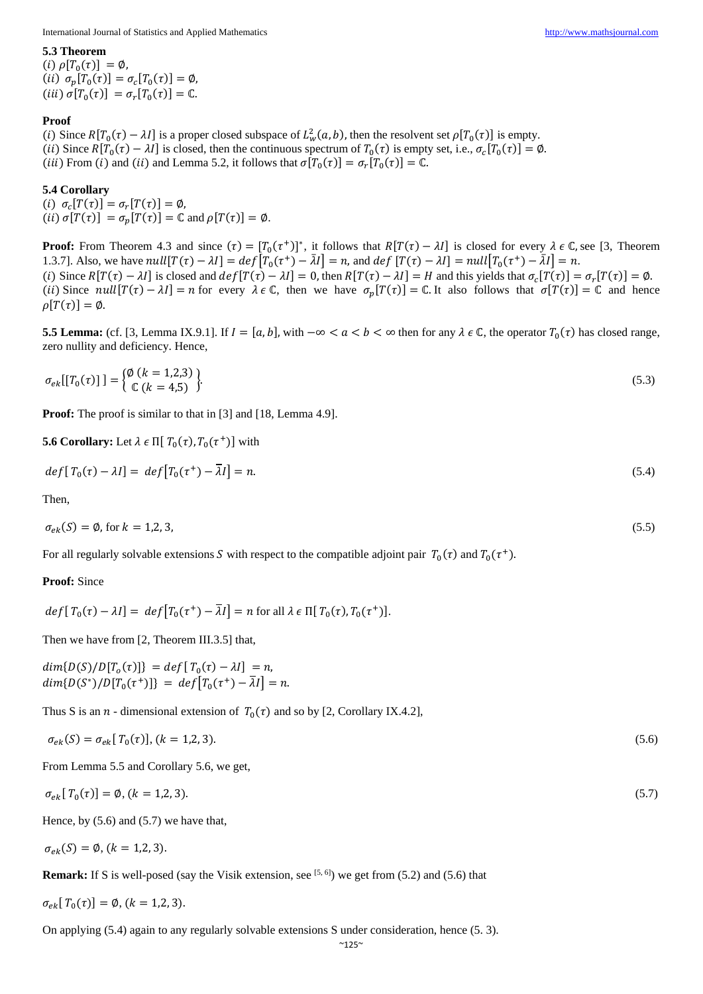**5.3 Theorem**   $(i) \rho[T_0(\tau)] = \emptyset$ ,

(ii)  $\sigma_p[T_0(\tau)] = \sigma_c[T_0(\tau)] = \emptyset$ ,  $(iii) \sigma[T_0(\tau)] = \sigma_r[T_0(\tau)] = \mathbb{C}.$ 

## **Proof**

(i) Since  $R[T_0(\tau) - \lambda I]$  is a proper closed subspace of  $L^2_w(a, b)$ , then the resolvent set  $\rho[T_0(\tau)]$  is empty. (ii) Since  $R[T_0(\tau) - \lambda I]$  is closed, then the continuous spectrum of  $T_0(\tau)$  is empty set, i.e.,  $\sigma_c[T_0(\tau)] = \emptyset$ . (*iii*) From (*i*) and (*ii*) and Lemma 5.2, it follows that  $\sigma[T_0(\tau)] = \sigma_r[T_0(\tau)] = \mathbb{C}$ .

# **5.4 Corollary**

(i)  $\sigma_c[T(\tau)] = \sigma_r[T(\tau)] = \emptyset$ , (*ii*)  $\sigma[T(\tau)] = \sigma_p[T(\tau)] = \mathbb{C}$  and  $\rho[T(\tau)] = \emptyset$ .

**Proof:** From Theorem 4.3 and since  $(\tau) = [T_0(\tau^+)]^*$ , it follows that  $R[T(\tau) - \lambda I]$  is closed for every  $\lambda \in \mathbb{C}$ , see [3, Theorem 1.3.7]. Also, we have  $null[T(\tau) - \lambda I] = def[T_0(\tau^+) - \overline{\lambda}I] = n$ , and  $def[T(\tau) - \lambda I] = null[T_0(\tau^+) - \overline{\lambda}I] = n$ . (i) Since  $R[T(\tau) - \lambda I]$  is closed and  $def[T(\tau) - \lambda I] = 0$ , then  $R[T(\tau) - \lambda I] = H$  and this yields that  $\sigma_c[T(\tau)] = \sigma_r[T(\tau)] = \emptyset$ . (ii) Since  $null[T(\tau) - \lambda I] = n$  for every  $\lambda \in \mathbb{C}$ , then we have  $\sigma_p[T(\tau)] = \mathbb{C}$ . It also follows that  $\sigma[T(\tau)] = \mathbb{C}$  and hence  $\rho[T(\tau)] = \emptyset.$ 

**5.5 Lemma:** (cf. [3, Lemma IX.9.1]. If  $I = [a, b]$ , with  $-\infty < a < b < \infty$  then for any  $\lambda \in \mathbb{C}$ , the operator  $T_0(\tau)$  has closed range, zero nullity and deficiency. Hence,

$$
\sigma_{ek}[[T_0(\tau)]] = \begin{cases} \emptyset \ (k=1,2,3) \\ \mathbb{C} \ (k=4,5) \end{cases} \tag{5.3}
$$

**Proof:** The proof is similar to that in [3] and [18, Lemma 4.9].

**5.6 Corollary:** Let 
$$
\lambda \in \Pi[T_0(\tau), T_0(\tau^+)]
$$
 with

$$
def[T_0(\tau) - \lambda I] = def[T_0(\tau^+) - \overline{\lambda}I] = n. \tag{5.4}
$$

Then,

$$
\sigma_{ek}(S) = \emptyset, \text{ for } k = 1, 2, 3,
$$
\n
$$
(5.5)
$$

For all regularly solvable extensions S with respect to the compatible adjoint pair  $T_0(\tau)$  and  $T_0(\tau^+)$ .

### **Proof:** Since

$$
def[T_0(\tau) - \lambda I] = def[T_0(\tau^+) - \overline{\lambda}I] = n \text{ for all } \lambda \in \Pi[T_0(\tau), T_0(\tau^+)].
$$

Then we have from [2, Theorem III.3.5] that,

 $dim{D(S)/D[T_o(\tau)]} = def[T_o(\tau) - \lambda I] = n,$  $dim\{D(S^*)/D[T_0(\tau^+)]\} = def[T_0(\tau^+) - \overline{\lambda}I] = n.$ 

Thus S is an *n* - dimensional extension of  $T_0(\tau)$  and so by [2, Corollary IX.4.2],

$$
\sigma_{ek}(S) = \sigma_{ek}[T_0(\tau)], (k = 1, 2, 3). \tag{5.6}
$$

From Lemma 5.5 and Corollary 5.6, we get,

$$
\sigma_{ek}[T_0(\tau)] = \emptyset, (k = 1, 2, 3). \tag{5.7}
$$

Hence, by  $(5.6)$  and  $(5.7)$  we have that,

$$
\sigma_{ek}(S)=\emptyset, (k=1,2,3).
$$

**Remark:** If S is well-posed (say the Visik extension, see  $[5, 6]$ ) we get from (5.2) and (5.6) that

$$
\sigma_{ek}[T_0(\tau)] = \emptyset, (k = 1, 2, 3).
$$

On applying (5.4) again to any regularly solvable extensions S under consideration, hence (5. 3).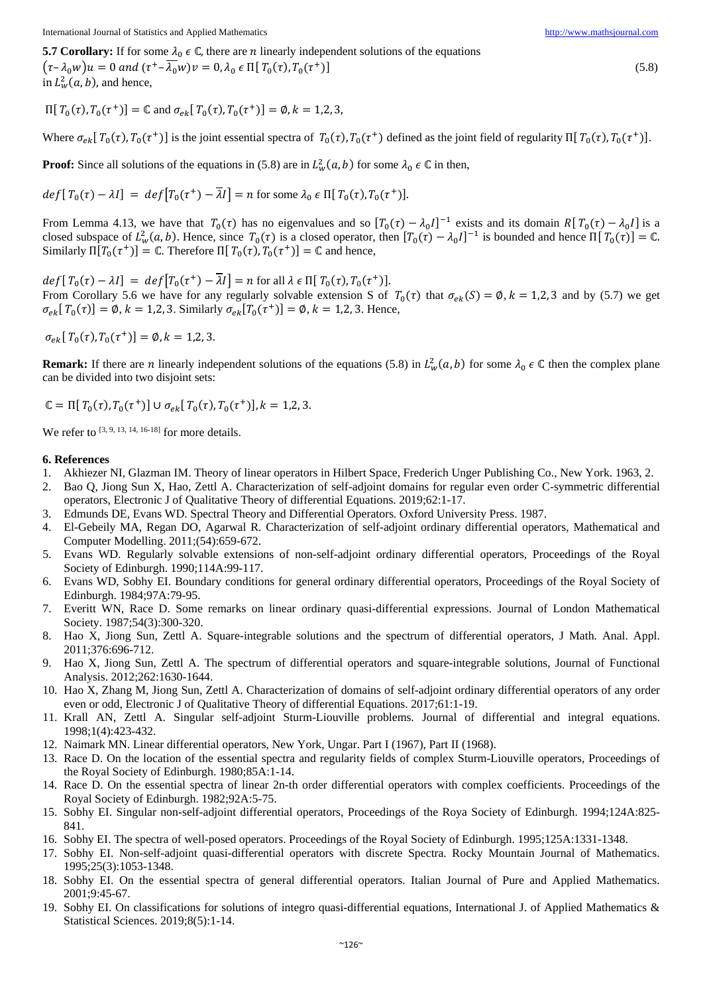**5.7 Corollary:** If for some  $\lambda_0 \in \mathbb{C}$ , there are *n* linearly independent solutions of the equations

 $(\tau - \lambda_0 w)u = 0$  and  $(\tau^+ - \overline{\lambda_0} w)v = 0$ ,  $\lambda_0 \in \Pi[T_0(\tau), T_0(\tau^+)]$  (5.8) in  $L^2_w(a, b)$ , and hence,

 $\Pi[T_0(\tau), T_0(\tau^+)] = \mathbb{C}$  and  $\sigma_{ek}[T_0(\tau), T_0(\tau^+)] = \emptyset$ ,  $k = 1,2,3$ ,

Where  $\sigma_{ek}[\,T_0(\tau), T_0(\tau^+)]$  is the joint essential spectra of  $T_0(\tau), T_0(\tau^+)$  defined as the joint field of regularity  $\Pi[T_0(\tau), T_0(\tau^+)]$ .

**Proof:** Since all solutions of the equations in (5.8) are in  $L^2_w(a, b)$  for some  $\lambda_0 \in \mathbb{C}$  in then,

$$
def[T_0(\tau) - \lambda I] = def[T_0(\tau^+) - \overline{\lambda}I] = n \text{ for some } \lambda_0 \in \Pi[T_0(\tau), T_0(\tau^+)].
$$

From Lemma 4.13, we have that  $T_0(\tau)$  has no eigenvalues and so  $[T_0(\tau) - \lambda_0 I]^{-1}$  exists and its domain  $R[T_0(\tau) - \lambda_0 I]$  is a closed subspace of  $L^2_w(a, b)$ . Hence, since  $T_0(\tau)$  is a closed operator, then  $[T_0(\tau) - \lambda_0 I]^{-1}$  is bounded and hence  $\Pi[T_0(\tau)] = \mathbb{C}$ . Similarly  $\Pi[T_0(\tau^+)] = \mathbb{C}$ . Therefore  $\Pi[T_0(\tau), T_0(\tau^+)] = \mathbb{C}$  and hence,

 $def[T_0(\tau) - \lambda I] = def[T_0(\tau^+) - \overline{\lambda}I] = n$  for all  $\lambda \in \Pi[T_0(\tau), T_0(\tau^+)]$ . From Corollary 5.6 we have for any regularly solvable extension S of  $T_0(\tau)$  that  $\sigma_{ek}(S) = \emptyset$ ,  $k = 1,2,3$  and by (5.7) we get  $\sigma_{ek}[T_0(\tau)] = \emptyset$ ,  $k = 1,2,3$ . Similarly  $\sigma_{ek}[T_0(\tau^+)] = \emptyset$ ,  $k = 1,2,3$ . Hence,

$$
\sigma_{ek}[T_0(\tau), T_0(\tau^+)] = \emptyset, k = 1, 2, 3.
$$

**Remark:** If there are *n* linearly independent solutions of the equations (5.8) in  $L^2_w(a, b)$  for some  $\lambda_0 \in \mathbb{C}$  then the complex plane can be divided into two disjoint sets:

$$
\mathbb{C} = \Pi[T_0(\tau), T_0(\tau^+)] \cup \sigma_{ek}[T_0(\tau), T_0(\tau^+)], k = 1, 2, 3.
$$

We refer to  $[3, 9, 13, 14, 16, 18]$  for more details.

#### **6. References**

- 1. Akhiezer NI, Glazman IM. Theory of linear operators in Hilbert Space, Frederich Unger Publishing Co., New York. 1963, 2.
- 2. Bao Q, Jiong Sun X, Hao, Zettl A. Characterization of self-adjoint domains for regular even order C-symmetric differential operators, Electronic J of Qualitative Theory of differential Equations. 2019;62:1-17.
- 3. Edmunds DE, Evans WD. Spectral Theory and Differential Operators. Oxford University Press. 1987.
- 4. El-Gebeily MA, Regan DO, Agarwal R. Characterization of self-adjoint ordinary differential operators, Mathematical and Computer Modelling. 2011;(54):659-672.
- 5. Evans WD. Regularly solvable extensions of non-self-adjoint ordinary differential operators, Proceedings of the Royal Society of Edinburgh. 1990;114A:99-117.
- 6. Evans WD, Sobhy EI. Boundary conditions for general ordinary differential operators, Proceedings of the Royal Society of Edinburgh. 1984;97A:79-95.
- 7. Everitt WN, Race D. Some remarks on linear ordinary quasi-differential expressions. Journal of London Mathematical Society. 1987;54(3):300-320.
- 8. Hao X, Jiong Sun, Zettl A. Square-integrable solutions and the spectrum of differential operators, J Math. Anal. Appl. 2011;376:696-712.
- 9. Hao X, Jiong Sun, Zettl A. The spectrum of differential operators and square-integrable solutions, Journal of Functional Analysis. 2012;262:1630-1644.
- 10. Hao X, Zhang M, Jiong Sun, Zettl A. Characterization of domains of self-adjoint ordinary differential operators of any order even or odd, Electronic J of Qualitative Theory of differential Equations. 2017;61:1-19.
- 11. Krall AN, Zettl A. Singular self-adjoint Sturm-Liouville problems. Journal of differential and integral equations. 1998;1(4):423-432.
- 12. Naimark MN. Linear differential operators, New York, Ungar. Part I (1967), Part II (1968).
- 13. Race D. On the location of the essential spectra and regularity fields of complex Sturm-Liouville operators, Proceedings of the Royal Society of Edinburgh. 1980;85A:1-14.
- 14. Race D. On the essential spectra of linear 2n-th order differential operators with complex coefficients. Proceedings of the Royal Society of Edinburgh. 1982;92A:5-75.
- 15. Sobhy EI. Singular non-self-adjoint differential operators, Proceedings of the Roya Society of Edinburgh. 1994;124A:825- 841.
- 16. Sobhy EI. The spectra of well-posed operators. Proceedings of the Royal Society of Edinburgh. 1995;125A:1331-1348.
- 17. Sobhy EI. Non-self-adjoint quasi-differential operators with discrete Spectra. Rocky Mountain Journal of Mathematics. 1995;25(3):1053-1348.
- 18. Sobhy EI. On the essential spectra of general differential operators. Italian Journal of Pure and Applied Mathematics. 2001;9:45-67.
- 19. Sobhy EI. On classifications for solutions of integro quasi-differential equations, International J. of Applied Mathematics & Statistical Sciences. 2019;8(5):1-14.